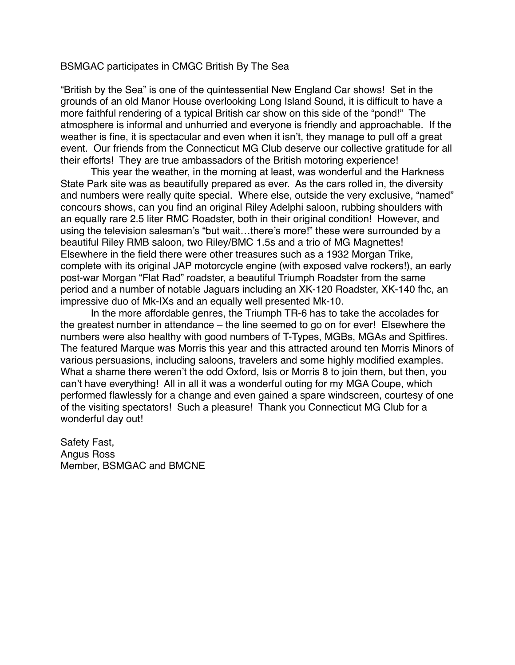## BSMGAC participates in CMGC British By The Sea

"British by the Sea" is one of the quintessential New England Car shows! Set in the grounds of an old Manor House overlooking Long Island Sound, it is difficult to have a more faithful rendering of a typical British car show on this side of the "pond!" The atmosphere is informal and unhurried and everyone is friendly and approachable. If the weather is fine, it is spectacular and even when it isn't, they manage to pull off a great event. Our friends from the Connecticut MG Club deserve our collective gratitude for all their efforts! They are true ambassadors of the British motoring experience!

This year the weather, in the morning at least, was wonderful and the Harkness State Park site was as beautifully prepared as ever. As the cars rolled in, the diversity and numbers were really quite special. Where else, outside the very exclusive, "named" concours shows, can you find an original Riley Adelphi saloon, rubbing shoulders with an equally rare 2.5 liter RMC Roadster, both in their original condition! However, and using the television salesman's "but wait…there's more!" these were surrounded by a beautiful Riley RMB saloon, two Riley/BMC 1.5s and a trio of MG Magnettes! Elsewhere in the field there were other treasures such as a 1932 Morgan Trike, complete with its original JAP motorcycle engine (with exposed valve rockers!), an early post-war Morgan "Flat Rad" roadster, a beautiful Triumph Roadster from the same period and a number of notable Jaguars including an XK-120 Roadster, XK-140 fhc, an impressive duo of Mk-IXs and an equally well presented Mk-10.

In the more affordable genres, the Triumph TR-6 has to take the accolades for the greatest number in attendance – the line seemed to go on for ever! Elsewhere the numbers were also healthy with good numbers of T-Types, MGBs, MGAs and Spitfires. The featured Marque was Morris this year and this attracted around ten Morris Minors of various persuasions, including saloons, travelers and some highly modified examples. What a shame there weren't the odd Oxford, Isis or Morris 8 to join them, but then, you can't have everything! All in all it was a wonderful outing for my MGA Coupe, which performed flawlessly for a change and even gained a spare windscreen, courtesy of one of the visiting spectators! Such a pleasure! Thank you Connecticut MG Club for a wonderful day out!

Safety Fast, Angus Ross Member, BSMGAC and BMCNE